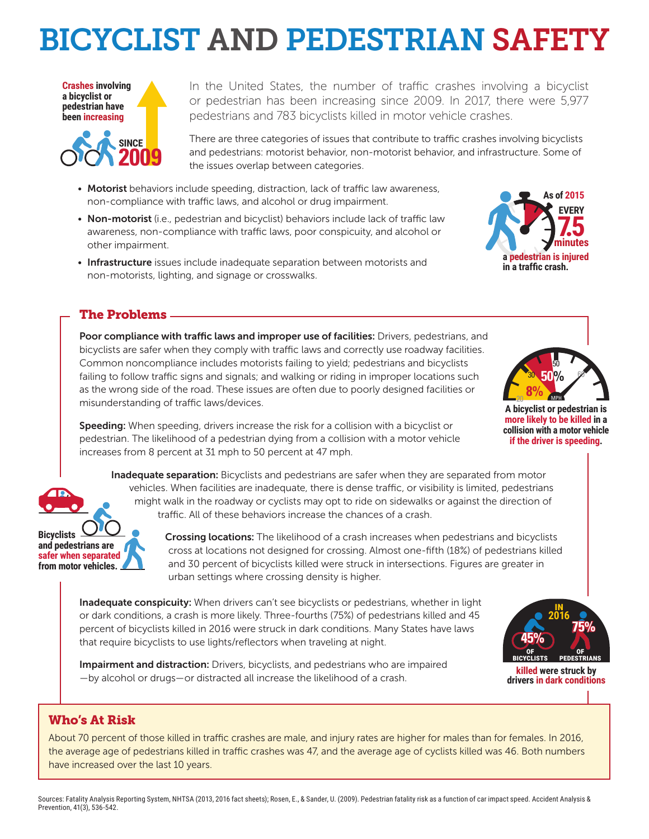# BICYCLIST AND PEDESTRIAN SAFETY



In the United States, the number of traffic crashes involving a bicyclist or pedestrian has been increasing since 2009. In 2017, there were 5,977 pedestrians and 783 bicyclists killed in motor vehicle crashes.

There are three categories of issues that contribute to traffic crashes involving bicyclists and pedestrians: motorist behavior, non-motorist behavior, and infrastructure. Some of the issues overlap between categories.

- Motorist behaviors include speeding, distraction, lack of traffic law awareness, non-compliance with traffic laws, and alcohol or drug impairment.
- Non-motorist (i.e., pedestrian and bicyclist) behaviors include lack of traffic law awareness, non-compliance with traffic laws, poor conspicuity, and alcohol or other impairment.
- Infrastructure issues include inadequate separation between motorists and non-motorists, lighting, and signage or crosswalks.



### The Problems

Poor compliance with traffic laws and improper use of facilities: Drivers, pedestrians, and bicyclists are safer when they comply with traffic laws and correctly use roadway facilities. Common noncompliance includes motorists failing to yield; pedestrians and bicyclists failing to follow traffic signs and signals; and walking or riding in improper locations such as the wrong side of the road. These issues are often due to poorly designed facilities or misunderstanding of traffic laws/devices.



**A bicyclist or pedestrian is more likely to be killed in a collision with a motor vehicle if the driver is speeding.**

Speeding: When speeding, drivers increase the risk for a collision with a bicyclist or pedestrian. The likelihood of a pedestrian dying from a collision with a motor vehicle increases from 8 percent at 31 mph to 50 percent at 47 mph.

Inadequate separation: Bicyclists and pedestrians are safer when they are separated from motor vehicles. When facilities are inadequate, there is dense traffic, or visibility is limited, pedestrians might walk in the roadway or cyclists may opt to ride on sidewalks or against the direction of traffic. All of these behaviors increase the chances of a crash.

**Bicyclists and pedestrians are safer when separated from motor vehicles.**

Crossing locations: The likelihood of a crash increases when pedestrians and bicyclists cross at locations not designed for crossing. Almost one-fifth (18%) of pedestrians killed and 30 percent of bicyclists killed were struck in intersections. Figures are greater in urban settings where crossing density is higher.

Inadequate conspicuity: When drivers can't see bicyclists or pedestrians, whether in light or dark conditions, a crash is more likely. Three-fourths (75%) of pedestrians killed and 45 percent of bicyclists killed in 2016 were struck in dark conditions. Many States have laws that require bicyclists to use lights/reflectors when traveling at night.

Impairment and distraction: Drivers, bicyclists, and pedestrians who are impaired —by alcohol or drugs—or distracted all increase the likelihood of a crash.



**killed were struck by drivers in dark conditions**

### Who's At Risk

About 70 percent of those killed in traffic crashes are male, and injury rates are higher for males than for females. In 2016, the average age of pedestrians killed in traffic crashes was 47, and the average age of cyclists killed was 46. Both numbers have increased over the last 10 years.

Sources: Fatality Analysis Reporting System, NHTSA (2013, 2016 fact sheets); Rosen, E., & Sander, U. (2009). Pedestrian fatality risk as a function of car impact speed. Accident Analysis & Prevention, 41(3), 536-542.